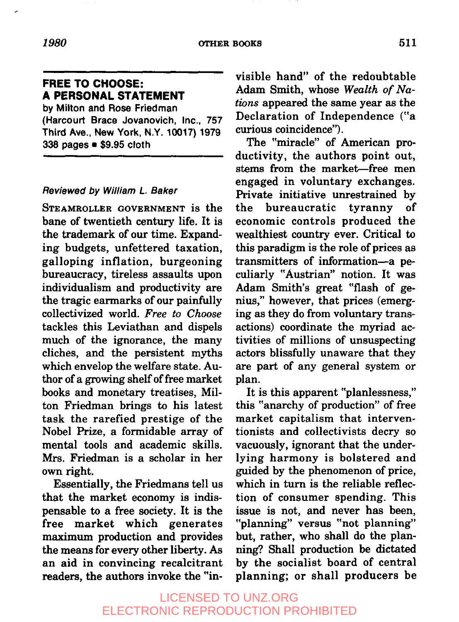#### *1980* **OTHER BOOKS 511**

# **FREE TO CHOOSE:**

**A PERSONAL STATEMENT**

**by** Milton and Rose **Friedman** (Harcourt Brace Jovanovich, Inc., 757 **Third Ave., New York, N.Y. 10017) 1979 338 pages ¯ \$9.95 cloth**

#### Reviewed by William L. Baker

STEAMROLLER GOVERNMENT is the bane of twentieth century life. It is the trademark of our time. Expanding budgets, unfettered taxation, galloping inflation, burgeoning bureaucracy, tireless assaults upon individualism and productivity are the tragic earmarks of our painfully collectivized world. *Free to Choose* tackles this Leviathan and dispels much of the ignorance, the many cliches, and the persistent myths which envelop the welfare state. Author of a growing shelf of free market books and monetary treatises, Milton Friedman brings to his latest task the rarefied prestige of the Nobel Prize, a formidable array of mental tools and academic skills. Mrs. Friedman is a scholar in her own right.

Essentially, the Friedmans tell us that the market economy is indispensable to a free society. It is the free market which generates maximum production and provides the means for every other liberty. As an aid in convincing recalcitrant readers, the authors invoke the "invisible hand" of the redoubtable Adam Smith, whose *Wealth of Nations* appeared the same year as the Declaration of Independence ('a curious coincidence").

The "miracle" of American productivity, the authors point out, stems from the market-free men engaged in voluntary exchanges. Private initiative unrestrained by the bureaucratic tyranny of economic controls produced the wealthiest country ever. Critical to this paradigm is the role of prices as transmitters of information--a peculiarly "Austrian" notion. It was Adam Smith's great "flash of genius," however, that prices (emerging as they do from voluntary transactions) coordinate the myriad activities of millions of unsuspecting actors blissfully unaware that they are part of any general system or plan.

It is this apparent "planlessness," this "anarchy of production" of free market capitalism that interventionists and collectivists decry so vacuously, ignorant that the underlying harmony is bolstered and guided by the phenomenon of price, which in turn is the reliable reflection of consumer spending. This issue is not, and never has been, "planning" versus "not planning" but, rather, who shall do the planning? Shall production be dictated by the socialist board of central planning; or shall producers be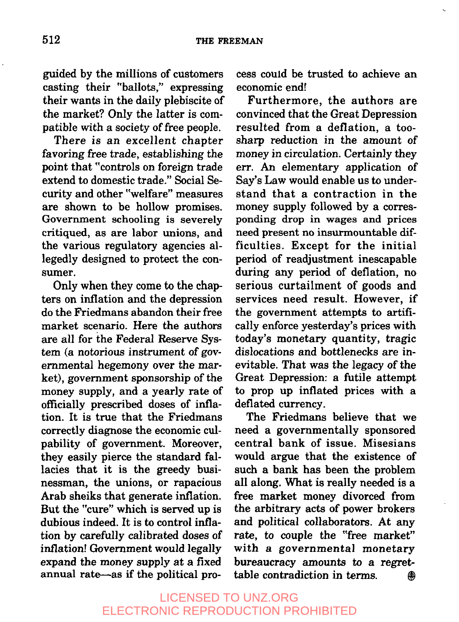guided by the millions of customers casting their "ballots," expressing their wants in the daily plebiscite of the market? Only the latter is compatible with a society of free people.

There is an excellent chapter favoring free trade, establishing the point that "controls on foreign trade extend to domestic trade." Social Security and other "welfare" measures are shown to be hollow promises. Government schooling is severely critiqued, as are labor unions, and the various regulatory agencies allegedly designed to protect the consumer.

Only when they come to the chapters on inflation and the depression do the Friedmans abandon their free market scenario. Here the authors are all for the Federal Reserve System (a notorious instrument of governmental hegemony over the market), government sponsorship of the money supply, and a yearly rate of officially prescribed doses of inflation. It is true that the Friedmans correctly diagnose the economic culpability of government. Moreover, they easily pierce the standard fallacies that it is the greedy businessman, the unions, or rapacious Arab sheiks that generate inflation. But the "cure" which is served up is dubious indeed. It is to control inflation by carefully calibrated doses of inflation! Government would legally expand the money supply at a fixed annual rate-as if the political process could be trusted to achieve an economic end!

Furthermore, the authors are convinced that the Great Depression resulted from a deflation, a toosharp reduction in the amount of money in circulation. Certainly they err. An elementary application of Say's Law would enable us to understand that a contraction in the money supply followed by a corresponding drop in wages and prices need present no insurmountable difficulties. Except for the initial period of readjustment inescapable during any period of deflation, no serious curtailment of goods and services need result. However, if the government attempts to artifically enforce yesterday's prices with today's monetary quantity, tragic dislocations and bottlenecks are inevitable. That was the legacy of the Great Depression: a futile attempt to prop up inflated prices with a deflated currency.

The Friedmans believe that we need a governmentally sponsored central bank of issue. Misesians would argue that the existence of such a bank has been the problem all along. What is really needed is a free market money divorced from the arbitrary acts of power brokers and political collaborators. At any rate, to couple the "free market" with a governmental monetary bureaucracy amounts to a regrettable contradiction in terms. @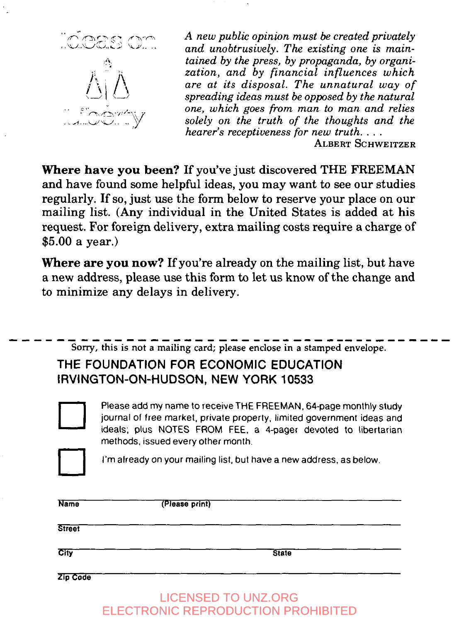

*A new public opinion must be created privately and unobtrusively. The existing one is maintained by the press, by propaganda, by organization, and by financial influences which are at its disposal. The unnatural way of spreading ideas must be opposed by the natural one, which goes from man to man and relies solely on the truth of the thoughts and the hearer's receptiveness for new truth ....*

ALBERT SCHWEITZER

Where **have you** been? If you've just discovered THE FREEMAN and have found some helpful ideas, you may want to see our studies regularly. If so, just use the form below to reserve your place on our mailing list. (Any individual in the United States is added at his request. For foreign delivery, extra mailing costs require a charge of \$5.00 a year.)

Where **are you now?** If you're already on the mailing list, but have a new address, please use this form to let us know of the change and to minimize any delays in delivery.



Name **(Please print) Street City** State **Zip Code**